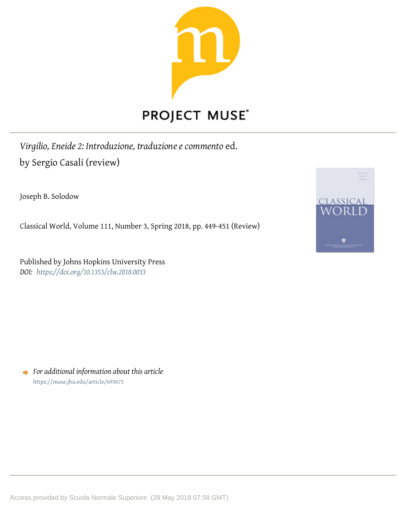

*Virgilio, Eneide 2: Introduzione, traduzione e commento* ed. by Sergio Casali (review)

Joseph B. Solodow

Classical World, Volume 111, Number 3, Spring 2018, pp. 449-451 (Review)

Published by Johns Hopkins University Press *DOI: <https://doi.org/10.1353/clw.2018.0033>*



*For additional information about this article* <https://muse.jhu.edu/article/693673>

Access provided by Scuola Normale Superiore (28 May 2018 07:58 GMT)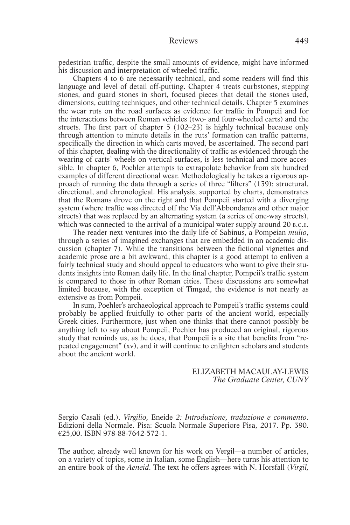pedestrian traffic, despite the small amounts of evidence, might have informed his discussion and interpretation of wheeled traffic.

Chapters 4 to 6 are necessarily technical, and some readers will find this language and level of detail off-putting. Chapter 4 treats curbstones, stepping stones, and guard stones in short, focused pieces that detail the stones used, dimensions, cutting techniques, and other technical details. Chapter 5 examines the wear ruts on the road surfaces as evidence for traffic in Pompeii and for the interactions between Roman vehicles (two- and four-wheeled carts) and the streets. The first part of chapter 5 (102–23) is highly technical because only through attention to minute details in the ruts' formation can traffic patterns, specifically the direction in which carts moved, be ascertained. The second part of this chapter, dealing with the directionality of traffic as evidenced through the wearing of carts' wheels on vertical surfaces, is less technical and more accessible. In chapter 6, Poehler attempts to extrapolate behavior from six hundred examples of different directional wear. Methodologically he takes a rigorous approach of running the data through a series of three "filters" (139): structural, directional, and chronological. His analysis, supported by charts, demonstrates that the Romans drove on the right and that Pompeii started with a diverging system (where traffic was directed off the Via dell'Abbondanza and other major streets) that was replaced by an alternating system (a series of one-way streets), which was connected to the arrival of a municipal water supply around 20 B.C.E.

The reader next ventures into the daily life of Sabinus, a Pompeian *mulio*, through a series of imagined exchanges that are embedded in an academic discussion (chapter 7). While the transitions between the fictional vignettes and academic prose are a bit awkward, this chapter is a good attempt to enliven a fairly technical study and should appeal to educators who want to give their students insights into Roman daily life. In the final chapter, Pompeii's traffic system is compared to those in other Roman cities. These discussions are somewhat limited because, with the exception of Timgad, the evidence is not nearly as extensive as from Pompeii.

In sum, Poehler's archaeological approach to Pompeii's traffic systems could probably be applied fruitfully to other parts of the ancient world, especially Greek cities. Furthermore, just when one thinks that there cannot possibly be anything left to say about Pompeii, Poehler has produced an original, rigorous study that reminds us, as he does, that Pompeii is a site that benefits from "repeated engagement" (xv), and it will continue to enlighten scholars and students about the ancient world.

> ELIZABETH MACAULAY-LEWIS *The Graduate Center, CUNY*

Sergio Casali (ed.). *Virgilio,* Eneide *2: Introduzione, traduzione e commento*. Edizioni della Normale. Pisa: Scuola Normale Superiore Pisa, 2017. Pp. 390. €25,00. ISBN 978-88-7642-572-1.

The author, already well known for his work on Vergil—a number of articles, on a variety of topics, some in Italian, some English—here turns his attention to an entire book of the *Aeneid*. The text he offers agrees with N. Horsfall (*Virgil,*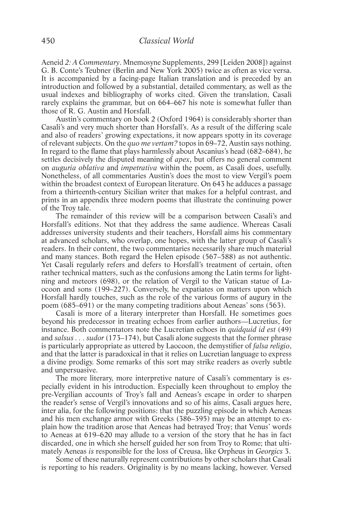Aeneid *2: A Commentary*. Mnemosyne Supplements, 299 [Leiden 2008]) against G. B. Conte's Teubner (Berlin and New York 2005) twice as often as vice versa. It is accompanied by a facing-page Italian translation and is preceded by an introduction and followed by a substantial, detailed commentary, as well as the usual indexes and bibliography of works cited. Given the translation, Casali rarely explains the grammar, but on 664–667 his note is somewhat fuller than those of R. G. Austin and Horsfall.

Austin's commentary on book 2 (Oxford 1964) is considerably shorter than Casali's and very much shorter than Horsfall's. As a result of the differing scale and also of readers' growing expectations, it now appears spotty in its coverage of relevant subjects. On the *quo me vertam?* topos in 69–72, Austin says nothing. In regard to the flame that plays harmlessly about Ascanius's head (682–684), he settles decisively the disputed meaning of *apex*, but offers no general comment on *auguria oblativa* and *impetrativa* within the poem, as Casali does, usefully. Nonetheless, of all commentaries Austin's does the most to view Vergil's poem within the broadest context of European literature. On 643 he adduces a passage from a thirteenth-century Sicilian writer that makes for a helpful contrast, and prints in an appendix three modern poems that illustrate the continuing power of the Troy tale.

The remainder of this review will be a comparison between Casali's and Horsfall's editions. Not that they address the same audience. Whereas Casali addresses university students and their teachers, Horsfall aims his commentary at advanced scholars, who overlap, one hopes, with the latter group of Casali's readers. In their content, the two commentaries necessarily share much material and many stances. Both regard the Helen episode (567–588) as not authentic. Yet Casali regularly refers and defers to Horsfall's treatment of certain, often rather technical matters, such as the confusions among the Latin terms for lightning and meteors (698), or the relation of Vergil to the Vatican statue of Laocoon and sons (199–227). Conversely, he expatiates on matters upon which Horsfall hardly touches, such as the role of the various forms of augury in the poem (685–691) or the many competing traditions about Aeneas' sons (563).

Casali is more of a literary interpreter than Horsfall. He sometimes goes beyond his predecessor in treating echoes from earlier authors—Lucretius, for instance. Both commentators note the Lucretian echoes in *quidquid id est* (49) and *salsus . . . sudor* (173–174), but Casali alone suggests that the former phrase is particularly appropriate as uttered by Laocoon, the demystifier of *falsa religio*, and that the latter is paradoxical in that it relies on Lucretian language to express a divine prodigy. Some remarks of this sort may strike readers as overly subtle and unpersuasive.

The more literary, more interpretive nature of Casali's commentary is especially evident in his introduction. Especially keen throughout to employ the pre-Vergilian accounts of Troy's fall and Aeneas's escape in order to sharpen the reader's sense of Vergil's innovations and so of his aims, Casali argues here, inter alia, for the following positions: that the puzzling episode in which Aeneas and his men exchange armor with Greeks (386–395) may be an attempt to explain how the tradition arose that Aeneas had betrayed Troy; that Venus' words to Aeneas at 619–620 may allude to a version of the story that he has in fact discarded, one in which she herself guided her son from Troy to Rome; that ultimately Aeneas *is* responsible for the loss of Creusa, like Orpheus in *Georgics* 3.

Some of these naturally represent contributions by other scholars that Casali is reporting to his readers. Originality is by no means lacking, however. Versed